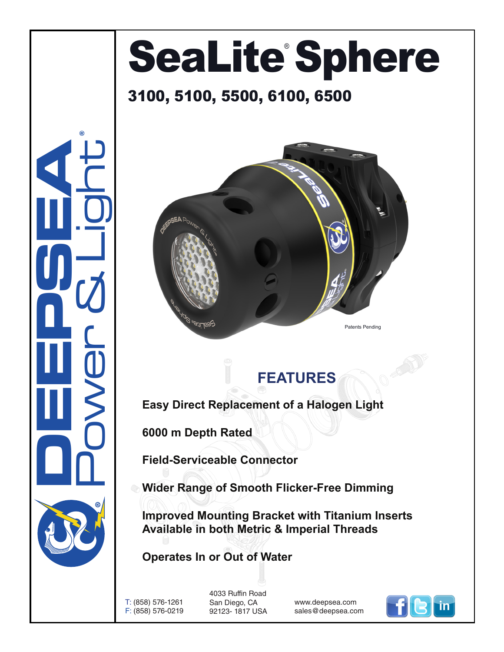## SeaLite Sphere

## 3100, 5100, 5500, 6100, 6500



## **FEATURES**

**Easy Direct Replacement of a Halogen Light**

**6000 m Depth Rated**

**Field-Serviceable Connector**

**Wider Range of Smooth Flicker-Free Dimming**

**Improved Mounting Bracket with Titanium Inserts Available in both Metric & Imperial Threads**

**Operates In or Out of Water**

T: (858) 576-1261 F: (858) 576-0219

**DEEPSEA** 

Power & Light

®

4033 Ruffin Road San Diego, CA 92123- 1817 USA

www.deepsea.com sales@deepsea.com